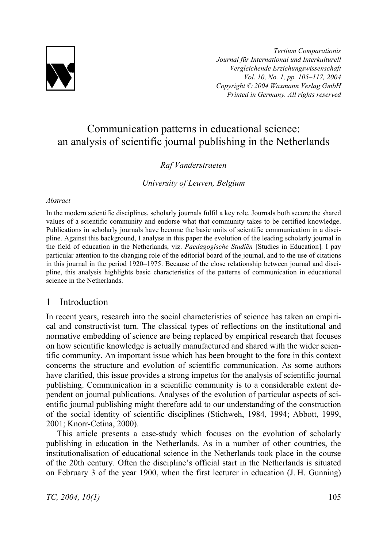

*Tertium Comparationis Journal für International und Interkulturell Vergleichende Erziehungswissenschaft Vol. 10, No. 1, pp. 105–117, 2004 Copyright © 2004 Waxmann Verlag GmbH Printed in Germany. All rights reserved*

# Communication patterns in educational science: an analysis of scientific journal publishing in the Netherlands

### *Raf Vanderstraeten*

*University of Leuven, Belgium* 

#### *Abstract*

In the modern scientific disciplines, scholarly journals fulfil a key role. Journals both secure the shared values of a scientific community and endorse what that community takes to be certified knowledge. Publications in scholarly journals have become the basic units of scientific communication in a discipline. Against this background, I analyse in this paper the evolution of the leading scholarly journal in the field of education in the Netherlands, viz. *Paedagogische Studiën* [Studies in Education]. I pay particular attention to the changing role of the editorial board of the journal, and to the use of citations in this journal in the period 1920–1975. Because of the close relationship between journal and discipline, this analysis highlights basic characteristics of the patterns of communication in educational science in the Netherlands.

# 1 Introduction

In recent years, research into the social characteristics of science has taken an empirical and constructivist turn. The classical types of reflections on the institutional and normative embedding of science are being replaced by empirical research that focuses on how scientific knowledge is actually manufactured and shared with the wider scientific community. An important issue which has been brought to the fore in this context concerns the structure and evolution of scientific communication. As some authors have clarified, this issue provides a strong impetus for the analysis of scientific journal publishing. Communication in a scientific community is to a considerable extent dependent on journal publications. Analyses of the evolution of particular aspects of scientific journal publishing might therefore add to our understanding of the construction of the social identity of scientific disciplines (Stichweh, 1984, 1994; Abbott, 1999, 2001; Knorr-Cetina, 2000).

This article presents a case-study which focuses on the evolution of scholarly publishing in education in the Netherlands. As in a number of other countries, the institutionalisation of educational science in the Netherlands took place in the course of the 20th century. Often the discipline's official start in the Netherlands is situated on February 3 of the year 1900, when the first lecturer in education (J. H. Gunning)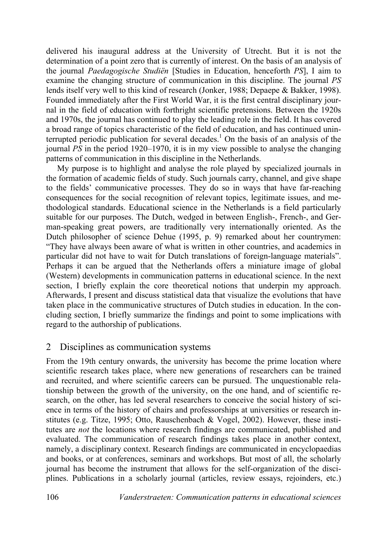delivered his inaugural address at the University of Utrecht. But it is not the determination of a point zero that is currently of interest. On the basis of an analysis of the journal *Paedagogische Studiën* [Studies in Education, henceforth *PS*], I aim to examine the changing structure of communication in this discipline. The journal *PS* lends itself very well to this kind of research (Jonker, 1988; Depaepe & Bakker, 1998). Founded immediately after the First World War, it is the first central disciplinary journal in the field of education with forthright scientific pretensions. Between the 1920s and 1970s, the journal has continued to play the leading role in the field. It has covered a broad range of topics characteristic of the field of education, and has continued uninterrupted periodic publication for several decades.<sup>1</sup> On the basis of an analysis of the journal *PS* in the period 1920–1970, it is in my view possible to analyse the changing patterns of communication in this discipline in the Netherlands.

My purpose is to highlight and analyse the role played by specialized journals in the formation of academic fields of study. Such journals carry, channel, and give shape to the fields' communicative processes. They do so in ways that have far-reaching consequences for the social recognition of relevant topics, legitimate issues, and methodological standards. Educational science in the Netherlands is a field particularly suitable for our purposes. The Dutch, wedged in between English-, French-, and German-speaking great powers, are traditionally very internationally oriented. As the Dutch philosopher of science Dehue (1995, p. 9) remarked about her countrymen: "They have always been aware of what is written in other countries, and academics in particular did not have to wait for Dutch translations of foreign-language materials". Perhaps it can be argued that the Netherlands offers a miniature image of global (Western) developments in communication patterns in educational science. In the next section, I briefly explain the core theoretical notions that underpin my approach. Afterwards, I present and discuss statistical data that visualize the evolutions that have taken place in the communicative structures of Dutch studies in education. In the concluding section, I briefly summarize the findings and point to some implications with regard to the authorship of publications.

# 2 Disciplines as communication systems

From the 19th century onwards, the university has become the prime location where scientific research takes place, where new generations of researchers can be trained and recruited, and where scientific careers can be pursued. The unquestionable relationship between the growth of the university, on the one hand, and of scientific research, on the other, has led several researchers to conceive the social history of science in terms of the history of chairs and professorships at universities or research institutes (e.g. Titze, 1995; Otto, Rauschenbach & Vogel, 2002). However, these institutes are *not* the locations where research findings are communicated, published and evaluated. The communication of research findings takes place in another context, namely, a disciplinary context. Research findings are communicated in encyclopaedias and books, or at conferences, seminars and workshops. But most of all, the scholarly journal has become the instrument that allows for the self-organization of the disciplines. Publications in a scholarly journal (articles, review essays, rejoinders, etc.)

106 *Vanderstraeten: Communication patterns in educational sciences*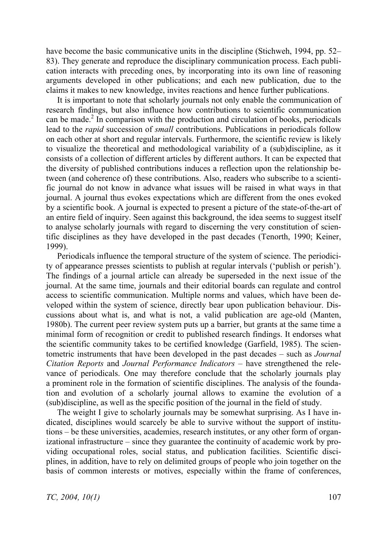have become the basic communicative units in the discipline (Stichweh, 1994, pp. 52– 83). They generate and reproduce the disciplinary communication process. Each publication interacts with preceding ones, by incorporating into its own line of reasoning arguments developed in other publications; and each new publication, due to the claims it makes to new knowledge, invites reactions and hence further publications.

It is important to note that scholarly journals not only enable the communication of research findings, but also influence how contributions to scientific communication can be made. $2 \text{ In comparison with the production and circulation of books, periodicals}$ lead to the *rapid* succession of *small* contributions. Publications in periodicals follow on each other at short and regular intervals. Furthermore, the scientific review is likely to visualize the theoretical and methodological variability of a (sub)discipline, as it consists of a collection of different articles by different authors. It can be expected that the diversity of published contributions induces a reflection upon the relationship between (and coherence of) these contributions. Also, readers who subscribe to a scientific journal do not know in advance what issues will be raised in what ways in that journal. A journal thus evokes expectations which are different from the ones evoked by a scientific book. A journal is expected to present a picture of the state-of-the-art of an entire field of inquiry. Seen against this background, the idea seems to suggest itself to analyse scholarly journals with regard to discerning the very constitution of scientific disciplines as they have developed in the past decades (Tenorth, 1990; Keiner, 1999).

Periodicals influence the temporal structure of the system of science. The periodicity of appearance presses scientists to publish at regular intervals ('publish or perish'). The findings of a journal article can already be superseded in the next issue of the journal. At the same time, journals and their editorial boards can regulate and control access to scientific communication. Multiple norms and values, which have been developed within the system of science, directly bear upon publication behaviour. Discussions about what is, and what is not, a valid publication are age-old (Manten, 1980b). The current peer review system puts up a barrier, but grants at the same time a minimal form of recognition or credit to published research findings. It endorses what the scientific community takes to be certified knowledge (Garfield, 1985). The scientometric instruments that have been developed in the past decades – such as *Journal Citation Reports* and *Journal Performance Indicators* – have strengthened the relevance of periodicals. One may therefore conclude that the scholarly journals play a prominent role in the formation of scientific disciplines. The analysis of the foundation and evolution of a scholarly journal allows to examine the evolution of a (sub)discipline, as well as the specific position of the journal in the field of study.

The weight I give to scholarly journals may be somewhat surprising. As I have indicated, disciplines would scarcely be able to survive without the support of institutions – be these universities, academies, research institutes, or any other form of organizational infrastructure – since they guarantee the continuity of academic work by providing occupational roles, social status, and publication facilities. Scientific disciplines, in addition, have to rely on delimited groups of people who join together on the basis of common interests or motives, especially within the frame of conferences,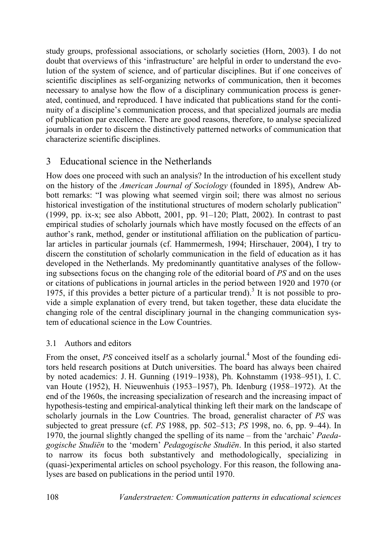study groups, professional associations, or scholarly societies (Horn, 2003). I do not doubt that overviews of this 'infrastructure' are helpful in order to understand the evolution of the system of science, and of particular disciplines. But if one conceives of scientific disciplines as self-organizing networks of communication, then it becomes necessary to analyse how the flow of a disciplinary communication process is generated, continued, and reproduced. I have indicated that publications stand for the continuity of a discipline's communication process, and that specialized journals are media of publication par excellence. There are good reasons, therefore, to analyse specialized journals in order to discern the distinctively patterned networks of communication that characterize scientific disciplines.

# 3 Educational science in the Netherlands

How does one proceed with such an analysis? In the introduction of his excellent study on the history of the *American Journal of Sociology* (founded in 1895), Andrew Abbott remarks: "I was plowing what seemed virgin soil; there was almost no serious historical investigation of the institutional structures of modern scholarly publication" (1999, pp. ix-x; see also Abbott, 2001, pp. 91–120; Platt, 2002). In contrast to past empirical studies of scholarly journals which have mostly focused on the effects of an author's rank, method, gender or institutional affiliation on the publication of particular articles in particular journals (cf. Hammermesh, 1994; Hirschauer, 2004), I try to discern the constitution of scholarly communication in the field of education as it has developed in the Netherlands. My predominantly quantitative analyses of the following subsections focus on the changing role of the editorial board of *PS* and on the uses or citations of publications in journal articles in the period between 1920 and 1970 (or 1975, if this provides a better picture of a particular trend).<sup>3</sup> It is not possible to provide a simple explanation of every trend, but taken together, these data elucidate the changing role of the central disciplinary journal in the changing communication system of educational science in the Low Countries.

# 3.1 Authors and editors

From the onset, *PS* conceived itself as a scholarly journal.<sup>4</sup> Most of the founding editors held research positions at Dutch universities. The board has always been chaired by noted academics: J. H. Gunning (1919–1938), Ph. Kohnstamm (1938–951), I. C. van Houte (1952), H. Nieuwenhuis (1953–1957), Ph. Idenburg (1958–1972). At the end of the 1960s, the increasing specialization of research and the increasing impact of hypothesis-testing and empirical-analytical thinking left their mark on the landscape of scholarly journals in the Low Countries. The broad, generalist character of *PS* was subjected to great pressure (cf. *PS* 1988, pp. 502–513; *PS* 1998, no. 6, pp. 9–44). In 1970, the journal slightly changed the spelling of its name – from the 'archaic' *Paedagogische Studiën* to the 'modern' *Pedagogische Studiën*. In this period, it also started to narrow its focus both substantively and methodologically, specializing in (quasi-)experimental articles on school psychology. For this reason, the following analyses are based on publications in the period until 1970.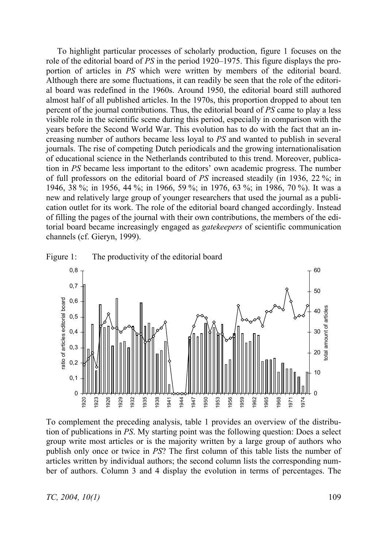To highlight particular processes of scholarly production, figure 1 focuses on the role of the editorial board of *PS* in the period 1920–1975. This figure displays the proportion of articles in *PS* which were written by members of the editorial board. Although there are some fluctuations, it can readily be seen that the role of the editorial board was redefined in the 1960s. Around 1950, the editorial board still authored almost half of all published articles. In the 1970s, this proportion dropped to about ten percent of the journal contributions. Thus, the editorial board of *PS* came to play a less visible role in the scientific scene during this period, especially in comparison with the years before the Second World War. This evolution has to do with the fact that an increasing number of authors became less loyal to *PS* and wanted to publish in several journals. The rise of competing Dutch periodicals and the growing internationalisation of educational science in the Netherlands contributed to this trend. Moreover, publication in *PS* became less important to the editors' own academic progress. The number of full professors on the editorial board of *PS* increased steadily (in 1936, 22 %; in 1946, 38 %; in 1956, 44 %; in 1966, 59 %; in 1976, 63 %; in 1986, 70 %). It was a new and relatively large group of younger researchers that used the journal as a publication outlet for its work. The role of the editorial board changed accordingly. Instead of filling the pages of the journal with their own contributions, the members of the editorial board became increasingly engaged as *gatekeepers* of scientific communication channels (cf. Gieryn, 1999).





To complement the preceding analysis, table 1 provides an overview of the distribution of publications in *PS*. My starting point was the following question: Does a select group write most articles or is the majority written by a large group of authors who publish only once or twice in *PS*? The first column of this table lists the number of articles written by individual authors; the second column lists the corresponding number of authors. Column 3 and 4 display the evolution in terms of percentages. The

*TC, 2004, 10(1)* 109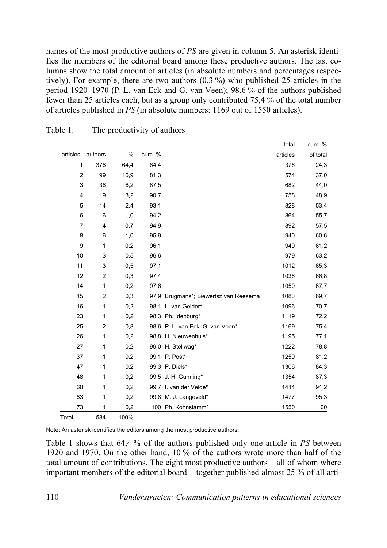names of the most productive authors of *PS* are given in column 5. An asterisk identifies the members of the editorial board among these productive authors. The last columns show the total amount of articles (in absolute numbers and percentages respectively). For example, there are two authors (0,3 %) who published 25 articles in the period 1920–1970 (P. L. van Eck and G. van Veen); 98,6 % of the authors published fewer than 25 articles each, but as a group only contributed 75,4 % of the total number of articles published in *PS* (in absolute numbers: 1169 out of 1550 articles).

total

 $c$ um.  $\%$ 

| articles         | authors                 | $\%$ | cum. % |                                       | articles | of total |
|------------------|-------------------------|------|--------|---------------------------------------|----------|----------|
| 1                | 376                     | 64,4 | 64,4   |                                       | 376      | 24,3     |
| $\boldsymbol{2}$ | 99                      | 16,9 | 81,3   |                                       | 574      | 37,0     |
| 3                | 36                      | 6,2  | 87,5   |                                       | 682      | 44,0     |
| 4                | 19                      | 3,2  | 90,7   |                                       | 758      | 48,9     |
| 5                | 14                      | 2,4  | 93,1   |                                       | 828      | 53,4     |
| 6                | 6                       | 1,0  | 94,2   |                                       | 864      | 55,7     |
| $\overline{7}$   | 4                       | 0,7  | 94,9   |                                       | 892      | 57,5     |
| 8                | 6                       | 1,0  | 95,9   |                                       | 940      | 60,6     |
| 9                | 1                       | 0,2  | 96,1   |                                       | 949      | 61,2     |
| $10$             | 3                       | 0,5  | 96,6   |                                       | 979      | 63,2     |
| 11               | 3                       | 0,5  | 97,1   |                                       | 1012     | 65,3     |
| 12               | $\overline{\mathbf{c}}$ | 0,3  | 97,4   |                                       | 1036     | 66,8     |
| 14               | $\mathbf 1$             | 0,2  | 97,6   |                                       | 1050     | 67,7     |
| 15               | $\overline{c}$          | 0,3  |        | 97,9 Brugmans*; Siewertsz van Reesema | 1080     | 69,7     |
| 16               | 1                       | 0,2  |        | 98,1 L. van Gelder*                   | 1096     | 70,7     |
| 23               | 1                       | 0,2  |        | 98,3 Ph. Idenburg*                    | 1119     | 72,2     |
| 25               | $\overline{c}$          | 0,3  |        | 98,6 P. L. van Eck; G. van Veen*      | 1169     | 75,4     |
| 26               | $\mathbf 1$             | 0,2  |        | 98,8 H. Nieuwenhuis*                  | 1195     | 77,1     |
| 27               | 1                       | 0,2  |        | 99,0 H. Stellwag*                     | 1222     | 78,8     |
| 37               | 1                       | 0,2  |        | 99,1 P. Post*                         | 1259     | 81,2     |
| 47               | 1                       | 0,2  |        | 99,3 P. Diels*                        | 1306     | 84,3     |
| 48               | 1                       | 0,2  |        | 99,5 J. H. Gunning*                   | 1354     | 87,3     |
| 60               | 1                       | 0,2  |        | 99,7 I. van der Velde*                | 1414     | 91,2     |
| 63               | 1                       | 0,2  |        | 99,8 M. J. Langeveld*                 | 1477     | 95,3     |
| 73               | 1                       | 0,2  |        | 100 Ph. Kohnstamm*                    | 1550     | 100      |
| Total            | 584                     | 100% |        |                                       |          |          |

Table 1: The productivity of authors

Note: An asterisk identifies the editors among the most productive authors.

Table 1 shows that 64,4 % of the authors published only one article in *PS* between 1920 and 1970. On the other hand, 10 % of the authors wrote more than half of the total amount of contributions. The eight most productive authors – all of whom where important members of the editorial board – together published almost 25 % of all arti-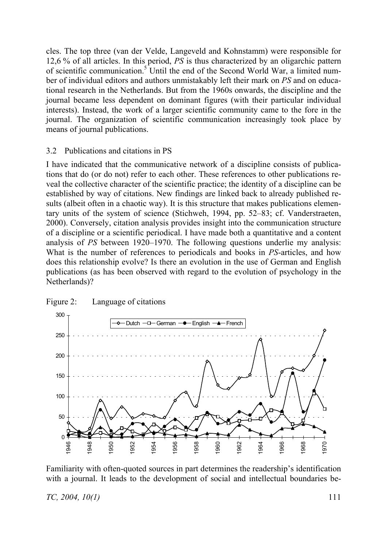cles. The top three (van der Velde, Langeveld and Kohnstamm) were responsible for 12,6 % of all articles. In this period, *PS* is thus characterized by an oligarchic pattern of scientific communication.5 Until the end of the Second World War, a limited number of individual editors and authors unmistakably left their mark on *PS* and on educational research in the Netherlands. But from the 1960s onwards, the discipline and the journal became less dependent on dominant figures (with their particular individual interests). Instead, the work of a larger scientific community came to the fore in the journal. The organization of scientific communication increasingly took place by means of journal publications.

### 3.2 Publications and citations in PS

I have indicated that the communicative network of a discipline consists of publications that do (or do not) refer to each other. These references to other publications reveal the collective character of the scientific practice; the identity of a discipline can be established by way of citations. New findings are linked back to already published results (albeit often in a chaotic way). It is this structure that makes publications elementary units of the system of science (Stichweh, 1994, pp. 52–83; cf. Vanderstraeten, 2000). Conversely, citation analysis provides insight into the communication structure of a discipline or a scientific periodical. I have made both a quantitative and a content analysis of *PS* between 1920–1970. The following questions underlie my analysis: What is the number of references to periodicals and books in *PS*-articles, and how does this relationship evolve? Is there an evolution in the use of German and English publications (as has been observed with regard to the evolution of psychology in the Netherlands)?



### Figure 2: Language of citations

Familiarity with often-quoted sources in part determines the readership's identification with a journal. It leads to the development of social and intellectual boundaries be-

*TC, 2004, 10(1)* 111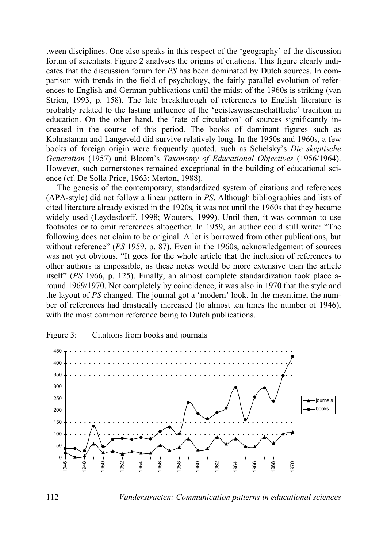tween disciplines. One also speaks in this respect of the 'geography' of the discussion forum of scientists. Figure 2 analyses the origins of citations. This figure clearly indicates that the discussion forum for *PS* has been dominated by Dutch sources. In comparison with trends in the field of psychology, the fairly parallel evolution of references to English and German publications until the midst of the 1960s is striking (van Strien, 1993, p. 158). The late breakthrough of references to English literature is probably related to the lasting influence of the 'geisteswissenschaftliche' tradition in education. On the other hand, the 'rate of circulation' of sources significantly increased in the course of this period. The books of dominant figures such as Kohnstamm and Langeveld did survive relatively long. In the 1950s and 1960s, a few books of foreign origin were frequently quoted, such as Schelsky's *Die skeptische Generation* (1957) and Bloom's *Taxonomy of Educational Objectives* (1956/1964). However, such cornerstones remained exceptional in the building of educational science (cf. De Solla Price, 1963; Merton, 1988).

The genesis of the contemporary, standardized system of citations and references (APA-style) did not follow a linear pattern in *PS*. Although bibliographies and lists of cited literature already existed in the 1920s, it was not until the 1960s that they became widely used (Leydesdorff, 1998; Wouters, 1999). Until then, it was common to use footnotes or to omit references altogether. In 1959, an author could still write: "The following does not claim to be original. A lot is borrowed from other publications, but without reference" (*PS* 1959, p. 87). Even in the 1960s, acknowledgement of sources was not yet obvious. "It goes for the whole article that the inclusion of references to other authors is impossible, as these notes would be more extensive than the article itself" (*PS* 1966, p. 125). Finally, an almost complete standardization took place around 1969/1970. Not completely by coincidence, it was also in 1970 that the style and the layout of *PS* changed. The journal got a 'modern' look. In the meantime, the number of references had drastically increased (to almost ten times the number of 1946), with the most common reference being to Dutch publications.



Figure 3: Citations from books and journals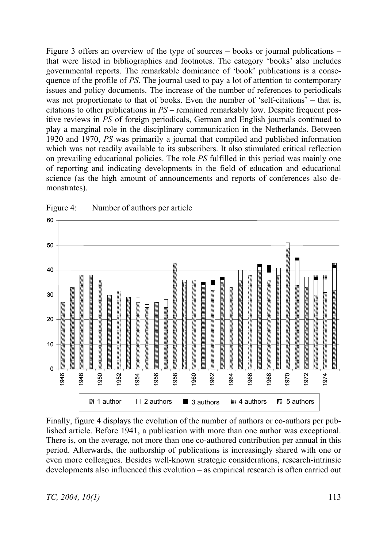Figure 3 offers an overview of the type of sources – books or journal publications – that were listed in bibliographies and footnotes. The category 'books' also includes governmental reports. The remarkable dominance of 'book' publications is a consequence of the profile of *PS*. The journal used to pay a lot of attention to contemporary issues and policy documents. The increase of the number of references to periodicals was not proportionate to that of books. Even the number of 'self-citations' – that is, citations to other publications in *PS* – remained remarkably low. Despite frequent positive reviews in *PS* of foreign periodicals, German and English journals continued to play a marginal role in the disciplinary communication in the Netherlands. Between 1920 and 1970, *PS* was primarily a journal that compiled and published information which was not readily available to its subscribers. It also stimulated critical reflection on prevailing educational policies. The role *PS* fulfilled in this period was mainly one of reporting and indicating developments in the field of education and educational science (as the high amount of announcements and reports of conferences also demonstrates).



Figure 4: Number of authors per article

Finally, figure 4 displays the evolution of the number of authors or co-authors per published article. Before 1941, a publication with more than one author was exceptional. There is, on the average, not more than one co-authored contribution per annual in this period. Afterwards, the authorship of publications is increasingly shared with one or even more colleagues. Besides well-known strategic considerations, research-intrinsic developments also influenced this evolution – as empirical research is often carried out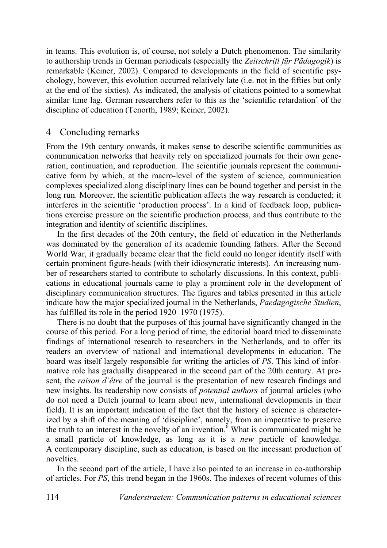in teams. This evolution is, of course, not solely a Dutch phenomenon. The similarity to authorship trends in German periodicals (especially the *Zeitschrift für Pädagogik*) is remarkable (Keiner, 2002). Compared to developments in the field of scientific psychology, however, this evolution occurred relatively late (i.e. not in the fifties but only at the end of the sixties). As indicated, the analysis of citations pointed to a somewhat similar time lag. German researchers refer to this as the 'scientific retardation' of the discipline of education (Tenorth, 1989; Keiner, 2002).

# 4 Concluding remarks

From the 19th century onwards, it makes sense to describe scientific communities as communication networks that heavily rely on specialized journals for their own generation, continuation, and reproduction. The scientific journals represent the communicative form by which, at the macro-level of the system of science, communication complexes specialized along disciplinary lines can be bound together and persist in the long run. Moreover, the scientific publication affects the way research is conducted; it interferes in the scientific 'production process'. In a kind of feedback loop, publications exercise pressure on the scientific production process, and thus contribute to the integration and identity of scientific disciplines.

In the first decades of the 20th century, the field of education in the Netherlands was dominated by the generation of its academic founding fathers. After the Second World War, it gradually became clear that the field could no longer identify itself with certain prominent figure-heads (with their idiosyncratic interests). An increasing number of researchers started to contribute to scholarly discussions. In this context, publications in educational journals came to play a prominent role in the development of disciplinary communication structures. The figures and tables presented in this article indicate how the major specialized journal in the Netherlands, *Paedagogische Studien*, has fulfilled its role in the period 1920–1970 (1975).

There is no doubt that the purposes of this journal have significantly changed in the course of this period. For a long period of time, the editorial board tried to disseminate findings of international research to researchers in the Netherlands, and to offer its readers an overview of national and international developments in education. The board was itself largely responsible for writing the articles of *PS*. This kind of informative role has gradually disappeared in the second part of the 20th century. At present, the *raison d'être* of the journal is the presentation of new research findings and new insights. Its readership now consists of *potential authors* of journal articles (who do not need a Dutch journal to learn about new, international developments in their field). It is an important indication of the fact that the history of science is characterized by a shift of the meaning of 'discipline', namely, from an imperative to preserve the truth to an interest in the novelty of an invention.<sup> $\delta$ </sup> What is communicated might be a small particle of knowledge, as long as it is a *new* particle of knowledge. A contemporary discipline, such as education, is based on the incessant production of novelties.

In the second part of the article, I have also pointed to an increase in co-authorship of articles. For *PS*, this trend began in the 1960s. The indexes of recent volumes of this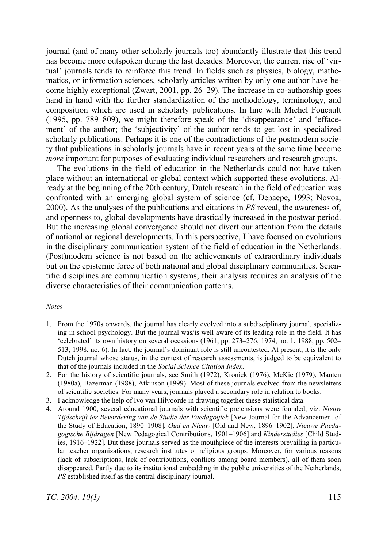journal (and of many other scholarly journals too) abundantly illustrate that this trend has become more outspoken during the last decades. Moreover, the current rise of 'virtual' journals tends to reinforce this trend. In fields such as physics, biology, mathematics, or information sciences, scholarly articles written by only one author have become highly exceptional (Zwart, 2001, pp. 26–29). The increase in co-authorship goes hand in hand with the further standardization of the methodology, terminology, and composition which are used in scholarly publications. In line with Michel Foucault (1995, pp. 789–809), we might therefore speak of the 'disappearance' and 'effacement' of the author; the 'subjectivity' of the author tends to get lost in specialized scholarly publications. Perhaps it is one of the contradictions of the postmodern society that publications in scholarly journals have in recent years at the same time become *more* important for purposes of evaluating individual researchers and research groups.

The evolutions in the field of education in the Netherlands could not have taken place without an international or global context which supported these evolutions. Already at the beginning of the 20th century, Dutch research in the field of education was confronted with an emerging global system of science (cf. Depaepe, 1993; Novoa, 2000). As the analyses of the publications and citations in *PS* reveal, the awareness of, and openness to, global developments have drastically increased in the postwar period. But the increasing global convergence should not divert our attention from the details of national or regional developments. In this perspective, I have focused on evolutions in the disciplinary communication system of the field of education in the Netherlands. (Post)modern science is not based on the achievements of extraordinary individuals but on the epistemic force of both national and global disciplinary communities. Scientific disciplines are communication systems; their analysis requires an analysis of the diverse characteristics of their communication patterns.

#### *Notes*

- 1. From the 1970s onwards, the journal has clearly evolved into a subdisciplinary journal, specializing in school psychology. But the journal was/is well aware of its leading role in the field. It has 'celebrated' its own history on several occasions (1961, pp. 273–276; 1974, no. 1; 1988, pp. 502– 513; 1998, no. 6). In fact, the journal's dominant role is still uncontested. At present, it is the only Dutch journal whose status, in the context of research assessments, is judged to be equivalent to that of the journals included in the *Social Science Citation Index*.
- 2. For the history of scientific journals, see Smith (1972), Kronick (1976), McKie (1979), Manten (1980a), Bazerman (1988), Atkinson (1999). Most of these journals evolved from the newsletters of scientific societies. For many years, journals played a secondary role in relation to books.
- 3. I acknowledge the help of Ivo van Hilvoorde in drawing together these statistical data.
- 4. Around 1900, several educational journals with scientific pretensions were founded, viz. *Nieuw Tijdschrift ter Bevordering van de Studie der Paedagogiek* [New Journal for the Advancement of the Study of Education, 1890–1908], *Oud en Nieuw* [Old and New, 1896–1902], *Nieuwe Paedagogische Bijdragen* [New Pedagogical Contributions, 1901–1906] and *Kinderstudies* [Child Studies, 1916–1922]. But these journals served as the mouthpiece of the interests prevailing in particular teacher organizations, research institutes or religious groups. Moreover, for various reasons (lack of subscriptions, lack of contributions, conflicts among board members), all of them soon disappeared. Partly due to its institutional embedding in the public universities of the Netherlands, *PS* established itself as the central disciplinary journal.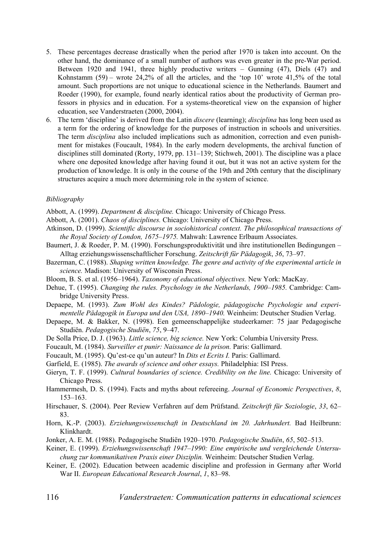- 5. These percentages decrease drastically when the period after 1970 is taken into account. On the other hand, the dominance of a small number of authors was even greater in the pre-War period. Between 1920 and 1941, three highly productive writers – Gunning (47), Diels (47) and Kohnstamm (59) – wrote 24,2% of all the articles, and the 'top  $10$ ' wrote  $41,5\%$  of the total amount. Such proportions are not unique to educational science in the Netherlands. Baumert and Roeder (1990), for example, found nearly identical ratios about the productivity of German professors in physics and in education. For a systems-theoretical view on the expansion of higher education, see Vanderstraeten (2000, 2004).
- 6. The term 'discipline' is derived from the Latin *discere* (learning); *disciplina* has long been used as a term for the ordering of knowledge for the purposes of instruction in schools and universities. The term *disciplina* also included implications such as admonition, correction and even punishment for mistakes (Foucault, 1984). In the early modern developments, the archival function of disciplines still dominated (Rorty, 1979, pp. 131–139; Stichweh, 2001). The discipline was a place where one deposited knowledge after having found it out, but it was not an active system for the production of knowledge. It is only in the course of the 19th and 20th century that the disciplinary structures acquire a much more determining role in the system of science.

#### *Bibliography*

Abbott, A. (1999). *Department & discipline.* Chicago: University of Chicago Press.

Abbott, A. (2001). *Chaos of disciplines.* Chicago: University of Chicago Press.

- Atkinson, D. (1999). *Scientific discourse in sociohistorical context. The philosophical transactions of the Royal Society of London, 1675–1975.* Mahwah: Lawrence Erlbaum Associates.
- Baumert, J. & Roeder, P. M. (1990). Forschungsproduktivität und ihre institutionellen Bedingungen Alltag erziehungswissenschaftlicher Forschung. *Zeitschrift für Pädagogik*, *36*, 73–97.
- Bazerman, C. (1988). *Shaping written knowledge. The genre and activity of the experimental article in science.* Madison: University of Wisconsin Press.
- Bloom, B. S. et al. (1956–1964). *Taxonomy of educational objectives.* New York: MacKay.
- Dehue, T. (1995). *Changing the rules. Psychology in the Netherlands, 1900–1985.* Cambridge: Cambridge University Press.
- Depaepe, M. (1993). *Zum Wohl des Kindes? Pädologie, pädagogische Psychologie und experimentelle Pädagogik in Europa und den USA, 1890–1940.* Weinheim: Deutscher Studien Verlag.
- Depaepe, M. & Bakker, N. (1998). Een gemeenschappelijke studeerkamer: 75 jaar Pedagogische Studiën. *Pedagogische Studiën*, *75*, 9–47.
- De Solla Price, D. J. (1963). *Little science, big science.* New York: Columbia University Press.
- Foucault, M. (1984). *Surveiller et punir: Naissance de la prison.* Paris: Gallimard.
- Foucault, M. (1995). Qu'est-ce qu'un auteur? In *Dits et Ecrits I.* Paris: Gallimard.
- Garfield, E. (1985). *The awards of science and other essays.* Philadelphia: ISI Press.
- Gieryn, T. F. (1999). *Cultural boundaries of science. Credibility on the line.* Chicago: University of Chicago Press.
- Hammermesh, D. S. (1994). Facts and myths about refereeing. *Journal of Economic Perspectives*, *8*, 153–163.
- Hirschauer, S. (2004). Peer Review Verfahren auf dem Prüfstand. *Zeitschrift für Soziologie*, *33*, 62– 83.
- Horn, K.-P. (2003). *Erziehungswissenschaft in Deutschland im 20. Jahrhundert.* Bad Heilbrunn: Klinkhardt.
- Jonker, A. E. M. (1988). Pedagogische Studiën 1920–1970. *Pedagogische Studiën*, *65*, 502–513.
- Keiner, E. (1999). *Erziehungswissenschaft 1947–1990: Eine empirische und vergleichende Untersuchung zur kommunikativen Praxis einer Disziplin.* Weinheim: Deutscher Studien Verlag.
- Keiner, E. (2002). Education between academic discipline and profession in Germany after World War II. *European Educational Research Journal*, *1*, 83–98.